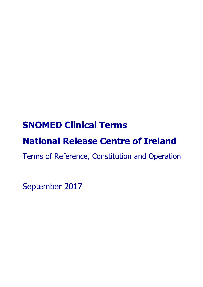# **SNOMED Clinical Terms**

# **National Release Centre of Ireland**

Terms of Reference, Constitution and Operation

September 2017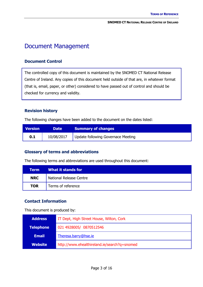# <span id="page-2-0"></span>Document Management

#### **Document Control**

The controlled copy of this document is maintained by the SNOMED CT National Release Centre of Ireland. Any copies of this document held outside of that are, in whatever format (that is, email, paper, or other) considered to have passed out of control and should be checked for currency and validity.

### **Revision history**

The following changes have been added to the document on the dates listed:

| <b>Version</b> | <b>NDate</b> | <b>Summary of changes</b>          |
|----------------|--------------|------------------------------------|
| 0.1            | 10/08/2017   | Update following Governace Meeting |

### **Glossary of terms and abbreviations**

The following terms and abbreviations are used throughout this document:

| Term       | What it stands for      |
|------------|-------------------------|
| <b>NRC</b> | National Release Centre |
| <b>TOR</b> | Terms of reference      |

### **Contact Information**

This document is produced by:

| <b>Address</b>   | IT Dept, High Street House, Wilton, Cork     |  |
|------------------|----------------------------------------------|--|
| <b>Telephone</b> | 021 4928005/ 0870512546                      |  |
| <b>Email</b>     | Theresa.barry@hse.ie                         |  |
| <b>Website</b>   | http://www.ehealthireland.ie/search?q=snomed |  |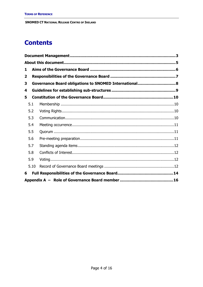# **Contents**

| 1                       |  |  |  |  |
|-------------------------|--|--|--|--|
| $\overline{\mathbf{2}}$ |  |  |  |  |
| 3                       |  |  |  |  |
| 4                       |  |  |  |  |
| 5                       |  |  |  |  |
| 5.1                     |  |  |  |  |
| 5.2                     |  |  |  |  |
| 5.3                     |  |  |  |  |
| 5.4                     |  |  |  |  |
| 5.5                     |  |  |  |  |
| 5.6                     |  |  |  |  |
| 5.7                     |  |  |  |  |
| 5.8                     |  |  |  |  |
| 5.9                     |  |  |  |  |
| 5.10                    |  |  |  |  |
| 6                       |  |  |  |  |
|                         |  |  |  |  |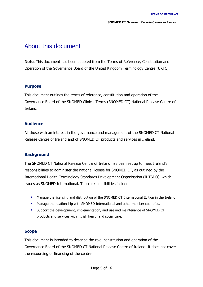## <span id="page-4-0"></span>About this document

**Note.** This document has been adapted from the Terms of Reference, Constitution and Operation of the Governance Board of the United Kingdom Terminology Centre (UKTC).

#### **Purpose**

This document outlines the terms of reference, constitution and operation of the Governance Board of the SNOMED Clinical Terms (SNOMED CT) National Release Centre of Ireland.

#### **Audience**

All those with an interest in the governance and management of the SNOMED CT National Release Centre of Ireland and of SNOMED CT products and services in Ireland.

### **Background**

The SNOMED CT National Release Centre of Ireland has been set up to meet Ireland's responsibilities to administer the national license for SNOMED CT, as outlined by the International Health Terminology Standards Development Organisation (IHTSDO), which trades as SNOMED International. These responsibilities include:

- **•** Manage the licensing and distribution of the SNOMED CT International Edition in the Ireland
- **Manage the relationship with SNOMED International and other member countries.**
- **Support the development, implementation, and use and maintenance of SNOMED CT** products and services within Irish health and social care.

#### **Scope**

This document is intended to describe the role, constitution and operation of the Governance Board of the SNOMED CT National Release Centre of Ireland. It does not cover the resourcing or financing of the centre.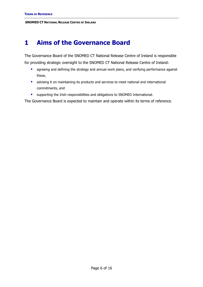## <span id="page-5-0"></span>**1 Aims of the Governance Board**

The Governance Board of the SNOMED CT National Release Centre of Ireland is responsible for providing strategic oversight to the SNOMED CT National Release Centre of Ireland:

- **a** agreeing and defining the strategy and annual work plans, and verifying performance against these,
- **a** advising it on maintaining its products and services to meet national and international commitments, and
- **E** supporting the Irish responsibilities and obligations to SNOMED International.

The Governance Board is expected to maintain and operate within its terms of reference.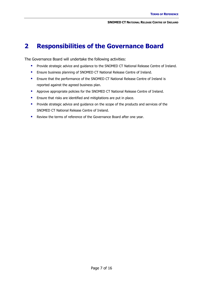# <span id="page-6-0"></span>**2 Responsibilities of the Governance Board**

The Governance Board will undertake the following activities:

- **Provide strategic advice and guidance to the SNOMED CT National Release Centre of Ireland.**
- **Ensure business planning of SNOMED CT National Release Centre of Ireland.**
- **Ensure that the performance of the SNOMED CT National Release Centre of Ireland is** reported against the agreed business plan.
- **Approve appropriate policies for the SNOMED CT National Release Centre of Ireland.**
- **Ensure that risks are identified and mitigitations are put in place.**
- **Provide strategic advice and guidance on the scope of the products and services of the** SNOMED CT National Release Centre of Ireland.
- **Review the terms of reference of the Governance Board after one year.**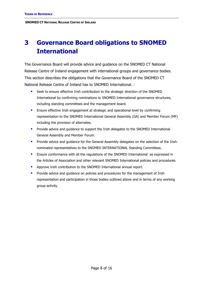# <span id="page-7-0"></span>**3 Governance Board obligations to SNOMED International**

The Governance Board will provide advice and guidance on the SNOMED CT National Release Centre of Ireland engagement with international groups and governance bodies. This section describes the obligations that the Governance Board of the SNOMED CT National Release Centre of Ireland has to SNOMED International. :

- Seek to ensure effective Irish contribution to the strategic direction of the SNOMED International by confirming nominations to SNOMED International governance structures, including standing committees and the management board.
- **Ensure effective Irish engagement at strategic and operational level by confirming** representation to the SNOMED International General Assembly (GA) and Member Forum (MF) including the provision of alternates.
- **Provide advice and quidance to support the Irish delegates to the SNOMED International** General Assembly and Member Forum.
- Provide advice and guidance for the General Assembly delegates on the selection of the Irishnominated representatives to the SNOMED INTERNATIONAL Standing Committess.
- **Ensure conformance with all the regulations of the SNOMED International as expressed in** the Articles of Association and other relevant SNOMED International policies and procedures.
- **Approve Irish contribution to the SNOMED International annual report.**
- Provide advice and guidance on policies and procedures for the management of Irish representation and participation in those bodies outlined above and in terms of any working group activity.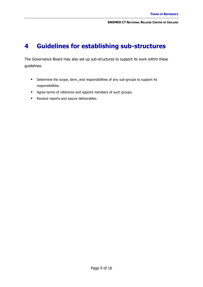### <span id="page-8-0"></span>**4 Guidelines for establishing sub-structures**

The Governance Board may also set up sub-structures to support its work within these guidelines:

- **•** Determine the scope, term, and responsibilities of any sub-groups to support its responsibilities.
- Agree terms of reference and appoint members of such groups.
- Receive reports and assure deliverables.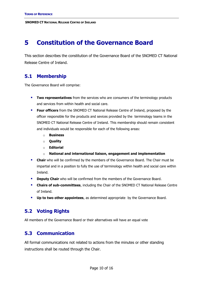### <span id="page-9-0"></span>**5 Constitution of the Governance Board**

This section describes the constitution of the Governance Board of the SNOMED CT National Release Centre of Ireland.

### <span id="page-9-1"></span>**5.1 Membership**

The Governance Board will comprise:

- **Two representatives** from the services who are consumers of the terminology products and services from within health and social care.
- **Four officers** from the SNOMED CT National Release Centre of Ireland, proposed by the officer responsible for the products and sevices provided by the terminology teams in the SNOMED CT National Release Centre of Ireland. This membership should remain consistent and individuals would be responsible for each of the following areas:
	- o **Business**
	- o **Quality**
	- o **Editorial**
	- o **National and international liaison, engagement and implementation**
- **Chair** who will be confirmed by the members of the Governance Board. The Chair must be impartial and in a position to fully the use of terminology within health and social care within Ireland.
- **Deputy Chair** who will be confirmed from the members of the Governance Board.
- **Chairs of sub-committees**, including the Chair of the SNOMED CT National Release Centre of Ireland.
- **Up to two other appointees**, as determined appropriate by the Governance Board.

### <span id="page-9-2"></span>**5.2 Voting Rights**

<span id="page-9-3"></span>All members of the Governance Board or their alternatives will have an equal vote

### **5.3 Communication**

All formal communications not related to actions from the minutes or other standing instructions shall be routed through the Chair.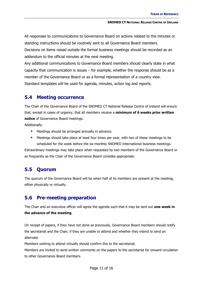All responses to communications to Governance Board on actions related to the minutes or standing instructions should be routinely sent to all Governance Board members.

Decisions on items raised outside the formal business meetings should be recorded as an addendum to the official minutes at the next meeting.

Any additional communications to Governance Board members should clearly state in what capacity that communication is issues – for example, whether the response should be as a member of the Governance Board or as a formal representation of a country view. Standard templates will be used for agenda, minutes, action log and reports.

### <span id="page-10-0"></span>**5.4 Meeting occurrence**

The Chair of the Governance Board of the SNOMED CT National Release Centre of Ireland will ensure that, except in cases of urgency, that all members receive a **minimum of 6 weeks prior written notice** of Governance Board meetings.

Additionally:

- Meetings should be arranged annually in advance.
- Meetings should take place at least four times per year, with two of these meetings to be scheduled for the week before the six-monthly SNOMED International business meetings.

Extraordinary meetings may take place when requested by two members of the Governance Board or as frequently as the Chair of the Governance Board consides appropriate.

### <span id="page-10-1"></span>**5.5 Quorum**

The quorum of the Governance Board will be when half of its members are present at the meeting, either physically or virtually.

### <span id="page-10-2"></span>**5.6 Pre-meeting preparation**

The Chair and an executive officer will agree the agenda such that it may be sent out **one week in the advance of the meeting**.

On receipt of papers, if they have not done so previously, Governance Board members should notify the secretariat and the Chair, if they are unable to attend and whether they intend to send an alternate.

Members wishing to attend virtually should confirm this to the secretariat.

Members are invited to send written comments on the papers to the secretariat for onward circulation to other Governance Board members.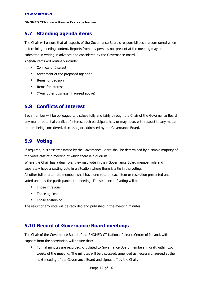### <span id="page-11-0"></span>**5.7 Standing agenda items**

The Chair will ensure that all aspects of the Governance Board's responsibilities are considered when determining meeting content. Reports from any persons not present at the meeting may be submitted in writing in advance and considered by the Governance Board.

Agenda items will routinely include:

- Conflicts of Interest
- Agreement of the proposed agenda\*
- Items for decision
- **ILED** Items for interest
- **•** (\*Any other business, if agreed above)

### <span id="page-11-1"></span>**5.8 Conflicts of Interest**

Each member will be obligaged to disclose fully and fairly through the Chair of the Governance Board any real or potential conflict of interest such participant has, or may have, with respect to any matter or item being considered, discussed, or addressed by the Governance Board.

### <span id="page-11-2"></span>**5.9 Voting**

If required, business transacted by the Governance Board shall be determined by a simple majority of the votes cast at a meeting at which there is a quorum.

Where the Chair has a dual role, they may vote in their Governance Board member role and separately have a casting vote in a situation where there is a tie in the voting.

All other full or alternate members shall have one vote on each item or resolution presented and voted upon by the participants at a meeting. The sequence of voting will be:

- $\blacksquare$  Those in favour
- **Those against**
- **Those abstaining**

The result of any vote will be recorded and published in the meeting minutes.

### <span id="page-11-3"></span>**5.10 Record of Governance Board meetings**

The Chair of the Governance Board of the SNOMED CT National Release Centre of Ireland, with support form the secretariat, will ensure that:

**Formal minutes are recorded, circulated to Governance Board members in draft within two** weeks of the meeting. The minutes will be discussed, amended as necessary, agreed at the next meeting of the Governance Board and signed off by the Chair.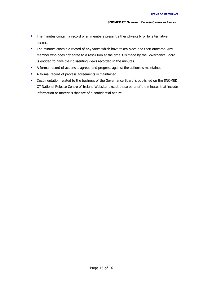- **The minutes contain a record of all members present either physically or by alternative** means.
- **The minutes contain a record of any votes which have taken place and their outcome. Any** member who does not agree to a resolution at the time it is made by the Governance Board is entitled to have their dissenting views recorded in the minutes.
- A formal record of actions is agreed and progress against the actions is maintained.
- A formal record of process agreements is maintained.
- Documentation related to the business of the Governance Board is published on the SNOMED CT National Release Centre of Ireland Website, except those parts of the minutes that include information or materials that are of a confidential nature.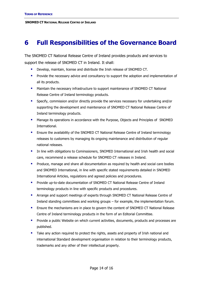## <span id="page-13-0"></span>**6 Full Responsibilities of the Governance Board**

The SNOMED CT National Release Centre of Ireland provides products and services to support the release of SNOMED CT in Ireland. It shall:

- **Develop, maintain, license and distribute the Irish release of SNOMED CT.**
- **Provide the necessary advice and consultancy to support the adoption and implementation of** all its products.
- Maintain the necessary infrastructure to support maintenance of SNOMED CT National Release Centre of Ireland terminology products.
- Specify, commission and/or directly provide the services necessary for undertaking and/or supporting the development and maintenance of SNOMED CT National Release Centre of Ireland terminology products.
- Manage its operations in accordance with the Purpose, Objects and Principles of SNOMED International.
- **Ensure the availability of the SNOMED CT National Release Centre of Ireland terminology** releases to customers by managing its ongoing maintenance and distribution of regular national releases.
- **II.** In line with obligations to Cominssioners, SNOMED International and Irish health and social care, recommend a release schedule for SNOMED CT releases in Ireland.
- Produce, manage and share all documentation as required by health and social care bodies and SNOMED International, in line with specific stated requirements detailed in SNOMED International Articles, regulations and agreed policies and procedures.
- **Provide up-to-date documentation of SNOMED CT National Release Centre of Ireland** terminology products in line with specific products and procedures.
- Arrange and support meetings of experts through SNOMED CT National Release Centre of Ireland standing committees and working groups – for example, the implementation forum.
- Ensure the mechanisms are in place to govern the content of SNOMED CT National Release Centre of Ireland terminology products in the form of an Editorial Committee.
- **Provide a public Website on which current activities, documents, products and processes are** published.
- **Take any action required to protect the rights, assets and property of Irish national and** international Standard development organisation in relation to their terminology products, trademarks and any other of their intellectual property.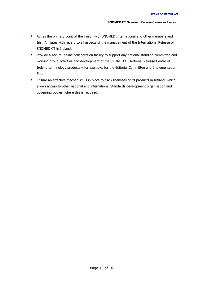- Act as the primary point of the liaison with SNOMED International and other members and Irish Affiliates with regard to all aspects of the management of the International Release of SNOMED CT in Ireland.
- **Provide a secure, online collaboration facility to support any national standing committee and** working group activities and development of the SNOMED CT National Release Centre of Ireland terminology products – for example, for the Editorial Committee and Implementation Forum.
- **Ensure an effective mechanism is in place to track licensees of its products in Ireland, which** allows access to other national and international Standards development organisation and governing bodies, where this is required.